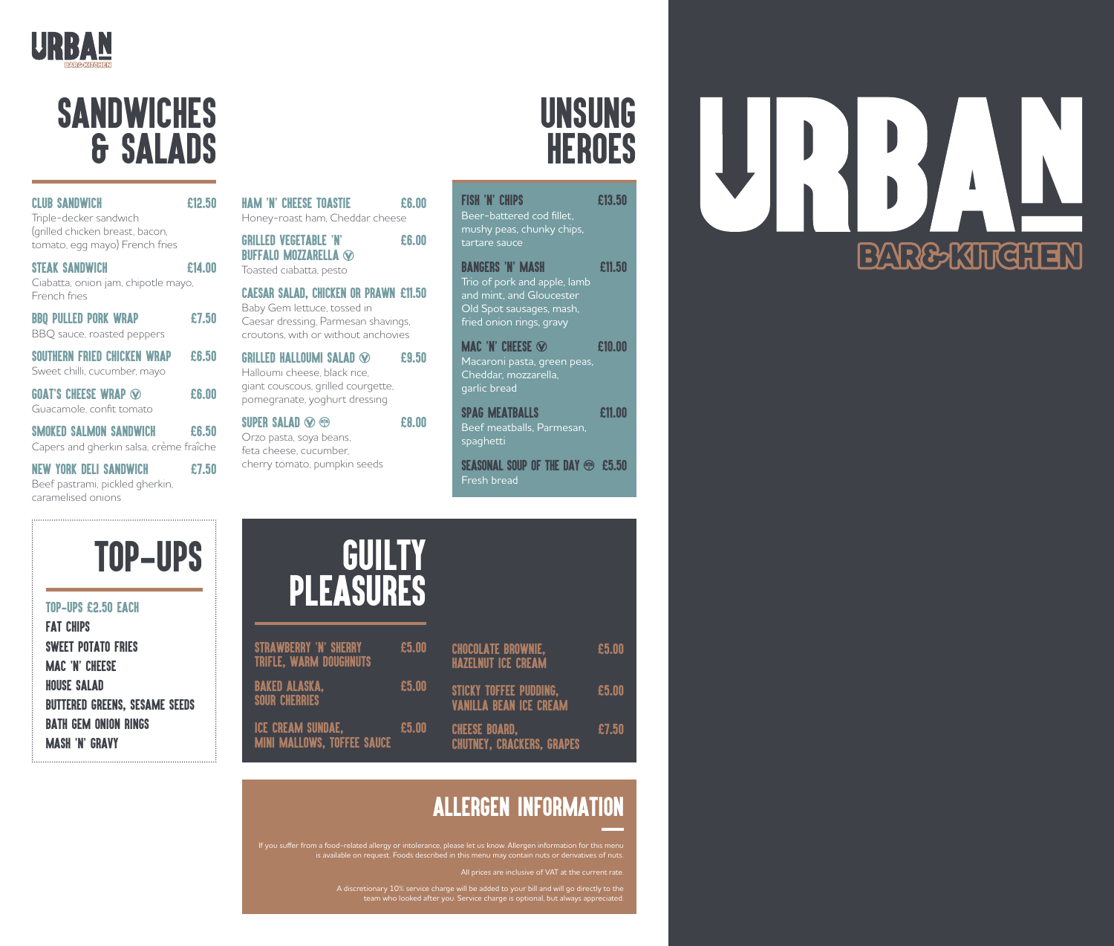

### **SANDWICHES** & SALADS

| <b>CLUB SANDWICH</b><br>Triple-decker sandwich                             | £12.50                                                                      | <b>HAM 'N' CHEESE TOASTIE</b><br>Honey-roast ham, Cheddar cheese                 | £6.00 |  |
|----------------------------------------------------------------------------|-----------------------------------------------------------------------------|----------------------------------------------------------------------------------|-------|--|
| (grilled chicken breast, bacon,<br>tomato, egg mayo) French fries          |                                                                             | <b>GRILLED VEGETABLE 'N'</b><br><b>BUFFALO MOZZARELLA <sup>®</sup></b>           | £6.00 |  |
| <b>STEAK SANDWICH</b><br>Ciabatta, onion jam, chipotle mayo,               | £14.00                                                                      | Toasted ciabatta, pesto                                                          |       |  |
| French fries                                                               | <b>CAESAR SALAD, CHICKEN OR PRAWN £11.50</b><br>Baby Gem lettuce, tossed in |                                                                                  |       |  |
| <b>BBQ PULLED PORK WRAP</b><br>BBQ sauce, roasted peppers                  | £7.50                                                                       | Caesar dressing, Parmesan shavings,<br>croutons, with or without anchovies       |       |  |
| <b>SOUTHERN FRIED CHICKEN WRAP</b><br>Sweet chilli, cucumber, mayo         | £6.50                                                                       | <b>GRILLED HALLOUMI SALAD <math>\odot</math></b><br>Halloumi cheese, black rice, | £9.50 |  |
| <b>GOAT'S CHEESE WRAP <math>\otimes</math></b><br>Guacamole, confit tomato | £6.00                                                                       | giant couscous, grilled courgette,<br>pomegranate, yoghurt dressing              |       |  |
| <b>SMOKED SALMON SANDW</b>                                                 | £6.50                                                                       | SUPER SALAD $\otimes$<br>(5)<br>Orzo pasta, soya beans,                          | £8.00 |  |

feta cheese, cucumber, cherry tomato, pumpkin seeds

Capers and gherkin salsa, crème fraîche NEW YORK DELI SANDWICH **E7.50** 

Beef pastrami, pickled gherkin, caramelised onions



#### TOP-UPS £2.50 EACH

FAT CHIPS SWEET POTATO FRIES MAC **'**N**'** CHEESE HOUSE SALAD BUTTERED GREENS, SESAME SEEDS BATH GEM ONION RINGS MASH **'**N**'** GRAVY

# GUILTY PLEASURES

| <b>STRAWBERRY 'N' SHERRY</b><br><b>TRIFLE, WARM DOUGHNUTS</b> | £5.00 | <b>CHOCOLATE BROWNIE,</b><br><b>HAZELNUT ICE CREAM</b>         | £5.00 |
|---------------------------------------------------------------|-------|----------------------------------------------------------------|-------|
| <b>BAKED ALASKA,</b><br><b>SOUR CHERRIES</b>                  | £5.00 | <b>STICKY TOFFEE PUDDING,</b><br><b>VANILLA BEAN ICE CREAM</b> | £5.00 |
| <b>ICE CREAM SUNDAE.</b><br><b>MINI MALLOWS, TOFFEE SAUCE</b> | £5.00 | <b>CHEESE BOARD,</b><br><b>CHUTNEY, CRACKERS, GRAPES</b>       | £7.50 |

### ALLERGEN INFORMATION

If you suffer from a food-related allergy or intolerance, please let us know. Allergen information for this menu

A discretionary 10% service charge will be added to your bill and will go directly to the team who looked after you. Service charge is optional, but always appreciated.

## UNSUNG **HEROES**

FISH **'**N**'** CHIPS £13.50 Beer-battered cod fillet, mushy peas, chunky chips, tartare sauce BANGERS **'**N**'** MASH £11.50 Trio of pork and apple, lamb and mint, and Gloucester Old Spot sausages, mash, fried onion rings, gravy **MAC 'N' CHEESE**  $\odot$  **610.00** 

Macaroni pasta, green peas, Cheddar, mozzarella, garlic bread

SPAG MEATBALLS 611.00 Beef meatballs, Parmesan, spaghetti

SEASONAL SOUP OF THE DAY **@** £5.50 Fresh bread